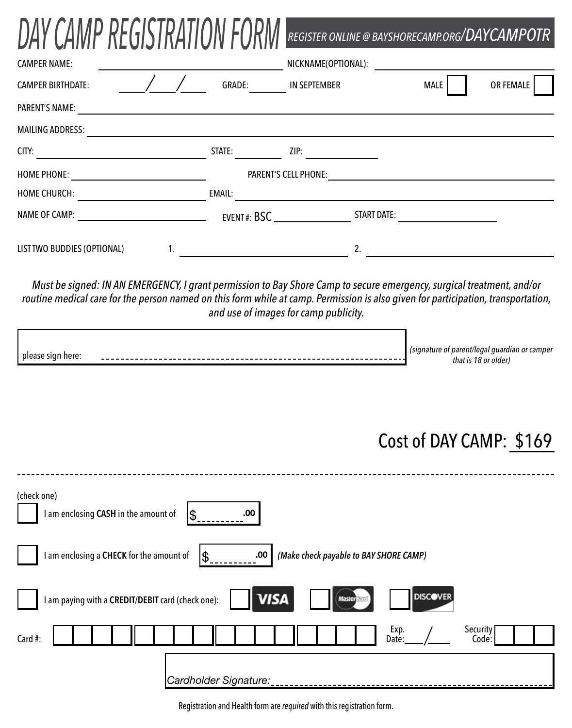| DAY CAMP REGISTRATION FORM  |        | REGISTER ONLINE @ BAYSHORECAMP.ORG/DAYCAMPOTR |             |           |
|-----------------------------|--------|-----------------------------------------------|-------------|-----------|
| <b>CAMPER NAME:</b>         |        | NICKNAME(OPTIONAL):                           |             |           |
| <b>CAMPER BIRTHDATE:</b>    | GRADE: | <b>IN SEPTEMBER</b>                           | <b>MALE</b> | OR FEMALE |
| <b>PARENT'S NAME:</b>       |        |                                               |             |           |
| <b>MAILING ADDRESS:</b>     |        |                                               |             |           |
| CITY:                       | STATE: | ZIP:                                          |             |           |
| HOME PHONE:                 |        | <b>PARENT'S CELL PHONE:</b>                   |             |           |
| <b>HOME CHURCH:</b>         | EMAIL: |                                               |             |           |
| NAME OF CAMP:               |        | START DATE:<br>EVENT#: BSC                    |             |           |
| LIST TWO BUDDIES (OPTIONAL) |        | 2.                                            |             |           |

BEAIATH ITIA

л

- -

Must be signed: IN AN EMERGENCY, I grant permission to Bay Shore Camp to secure emergency, surgical treatment, and/or routine medical care for the person named on this form while at camp. Permission is also given for participation, transportation, and use of images for camp publicity.

|  | .100 <sub>1</sub><br><i>parent/legal</i><br>campe<br> |
|--|-------------------------------------------------------|
|  | tha<br>uiuei                                          |

## Cost of DAY CAMP: \$169

| (check one)<br>I am enclosing CASH in the amount of<br>.00.<br>\$                                        |  |  |  |  |  |  |
|----------------------------------------------------------------------------------------------------------|--|--|--|--|--|--|
| I am enclosing a CHECK for the amount of<br>(Make check payable to BAY SHORE CAMP)<br>.00<br>\$          |  |  |  |  |  |  |
| <b>DISCOVER</b><br><b>VISA</b><br>I am paying with a CREDIT/DEBIT card (check one):<br><b>MasterCard</b> |  |  |  |  |  |  |
| Exp.<br>Security<br>Card #:<br>Code:<br>Date:                                                            |  |  |  |  |  |  |
| Cardholder Signature:                                                                                    |  |  |  |  |  |  |

Registration and Health form are *required* with this registration form.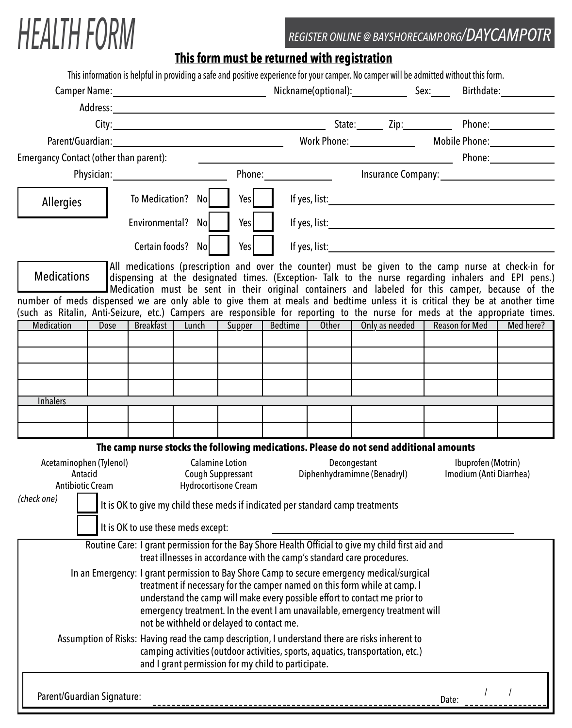## *HEALTH FORM REGISTER ONLINE @ BAYSHORECAMP.ORG/DAYCAMPOTR*

## **This form must be returned with registration**

|                                                                                                                                                  |             |                                    |                                           |                                             |                                                                                                                                                                                                                                |                                                                                              | This information is helpful in providing a safe and positive experience for your camper. No camper will be admitted without this form.                                                                                                                                                                         |       |                |                         |
|--------------------------------------------------------------------------------------------------------------------------------------------------|-------------|------------------------------------|-------------------------------------------|---------------------------------------------|--------------------------------------------------------------------------------------------------------------------------------------------------------------------------------------------------------------------------------|----------------------------------------------------------------------------------------------|----------------------------------------------------------------------------------------------------------------------------------------------------------------------------------------------------------------------------------------------------------------------------------------------------------------|-------|----------------|-------------------------|
|                                                                                                                                                  |             |                                    |                                           |                                             |                                                                                                                                                                                                                                |                                                                                              |                                                                                                                                                                                                                                                                                                                |       |                |                         |
|                                                                                                                                                  |             |                                    |                                           |                                             |                                                                                                                                                                                                                                |                                                                                              |                                                                                                                                                                                                                                                                                                                |       |                |                         |
|                                                                                                                                                  |             |                                    |                                           |                                             |                                                                                                                                                                                                                                |                                                                                              |                                                                                                                                                                                                                                                                                                                |       |                |                         |
|                                                                                                                                                  |             |                                    |                                           |                                             |                                                                                                                                                                                                                                |                                                                                              |                                                                                                                                                                                                                                                                                                                |       |                |                         |
| <b>Emergancy Contact (other than parent):</b>                                                                                                    |             |                                    |                                           |                                             |                                                                                                                                                                                                                                |                                                                                              |                                                                                                                                                                                                                                                                                                                |       |                |                         |
|                                                                                                                                                  |             |                                    |                                           |                                             | Phone: The contract of the contract of the contract of the contract of the contract of the contract of the contract of the contract of the contract of the contract of the contract of the contract of the contract of the con |                                                                                              |                                                                                                                                                                                                                                                                                                                |       |                | Insurance Company: 1997 |
| Allergies                                                                                                                                        |             | Yes  <br>To Medication? No         |                                           |                                             |                                                                                                                                                                                                                                | If yes, list: $\sqrt{ }$                                                                     |                                                                                                                                                                                                                                                                                                                |       |                |                         |
|                                                                                                                                                  |             | Environmental? No                  |                                           | Yes                                         |                                                                                                                                                                                                                                |                                                                                              |                                                                                                                                                                                                                                                                                                                |       |                |                         |
|                                                                                                                                                  |             |                                    | Certain foods? No                         | Yes                                         |                                                                                                                                                                                                                                |                                                                                              |                                                                                                                                                                                                                                                                                                                |       |                |                         |
| <b>Medications</b>                                                                                                                               |             |                                    |                                           |                                             |                                                                                                                                                                                                                                |                                                                                              | All medications (prescription and over the counter) must be given to the camp nurse at check-in for<br>dispensing at the designated times. (Exception- Talk to the nurse regarding inhalers and EPI pens.)<br>Medication must be sent in their original containers and labeled for this camper, because of the |       |                |                         |
| number of meds dispensed we are only able to give them at meals and bedtime unless it is critical they be at another time                        |             |                                    |                                           |                                             |                                                                                                                                                                                                                                |                                                                                              |                                                                                                                                                                                                                                                                                                                |       |                |                         |
| (such as Ritalin, Anti-Seizure, etc.) Campers are responsible for reporting to the nurse for meds at the appropriate times.<br><b>Medication</b> | <b>Dose</b> |                                    |                                           |                                             | Breakfast   Lunch   Supper   Bedtime                                                                                                                                                                                           |                                                                                              | Other   Only as needed                                                                                                                                                                                                                                                                                         |       | Reason for Med | Med here?               |
|                                                                                                                                                  |             |                                    |                                           |                                             |                                                                                                                                                                                                                                |                                                                                              |                                                                                                                                                                                                                                                                                                                |       |                |                         |
|                                                                                                                                                  |             |                                    |                                           |                                             |                                                                                                                                                                                                                                |                                                                                              |                                                                                                                                                                                                                                                                                                                |       |                |                         |
|                                                                                                                                                  |             |                                    |                                           |                                             |                                                                                                                                                                                                                                |                                                                                              |                                                                                                                                                                                                                                                                                                                |       |                |                         |
|                                                                                                                                                  |             |                                    |                                           |                                             |                                                                                                                                                                                                                                |                                                                                              |                                                                                                                                                                                                                                                                                                                |       |                |                         |
| <b>Inhalers</b>                                                                                                                                  |             |                                    |                                           |                                             |                                                                                                                                                                                                                                |                                                                                              |                                                                                                                                                                                                                                                                                                                |       |                |                         |
|                                                                                                                                                  |             |                                    |                                           |                                             |                                                                                                                                                                                                                                |                                                                                              |                                                                                                                                                                                                                                                                                                                |       |                |                         |
|                                                                                                                                                  |             |                                    |                                           |                                             |                                                                                                                                                                                                                                |                                                                                              |                                                                                                                                                                                                                                                                                                                |       |                |                         |
|                                                                                                                                                  |             |                                    |                                           |                                             |                                                                                                                                                                                                                                |                                                                                              | The camp nurse stocks the following medications. Please do not send additional amounts                                                                                                                                                                                                                         |       |                |                         |
| Acetaminophen (Tylenol)<br>Antacid                                                                                                               |             |                                    |                                           | <b>Calamine Lotion</b><br>Cough Suppressant |                                                                                                                                                                                                                                | Decongestant<br>Ibuprofen (Motrin)<br>Diphenhydramimne (Benadryl)<br>Imodium (Anti Diarrhea) |                                                                                                                                                                                                                                                                                                                |       |                |                         |
| <b>Antibiotic Cream</b>                                                                                                                          |             |                                    |                                           | <b>Hydrocortisone Cream</b>                 |                                                                                                                                                                                                                                |                                                                                              |                                                                                                                                                                                                                                                                                                                |       |                |                         |
| (check one) It is OK to give my child these meds if indicated per standard camp treatments                                                       |             |                                    |                                           |                                             |                                                                                                                                                                                                                                |                                                                                              |                                                                                                                                                                                                                                                                                                                |       |                |                         |
|                                                                                                                                                  |             | It is OK to use these meds except: |                                           |                                             |                                                                                                                                                                                                                                |                                                                                              |                                                                                                                                                                                                                                                                                                                |       |                |                         |
|                                                                                                                                                  |             |                                    |                                           |                                             |                                                                                                                                                                                                                                |                                                                                              | Routine Care: I grant permission for the Bay Shore Health Official to give my child first aid and                                                                                                                                                                                                              |       |                |                         |
|                                                                                                                                                  |             |                                    |                                           |                                             |                                                                                                                                                                                                                                |                                                                                              | treat illnesses in accordance with the camp's standard care procedures.                                                                                                                                                                                                                                        |       |                |                         |
|                                                                                                                                                  |             |                                    |                                           |                                             |                                                                                                                                                                                                                                |                                                                                              | In an Emergency: I grant permission to Bay Shore Camp to secure emergency medical/surgical                                                                                                                                                                                                                     |       |                |                         |
|                                                                                                                                                  |             |                                    |                                           |                                             |                                                                                                                                                                                                                                |                                                                                              | treatment if necessary for the camper named on this form while at camp. I<br>understand the camp will make every possible effort to contact me prior to                                                                                                                                                        |       |                |                         |
|                                                                                                                                                  |             |                                    |                                           |                                             |                                                                                                                                                                                                                                |                                                                                              | emergency treatment. In the event I am unavailable, emergency treatment will                                                                                                                                                                                                                                   |       |                |                         |
|                                                                                                                                                  |             |                                    | not be withheld or delayed to contact me. |                                             |                                                                                                                                                                                                                                |                                                                                              |                                                                                                                                                                                                                                                                                                                |       |                |                         |
|                                                                                                                                                  |             |                                    |                                           |                                             | and I grant permission for my child to participate.                                                                                                                                                                            |                                                                                              | Assumption of Risks: Having read the camp description, I understand there are risks inherent to<br>camping activities (outdoor activities, sports, aquatics, transportation, etc.)                                                                                                                             |       |                |                         |
| Parent/Guardian Signature:                                                                                                                       |             |                                    |                                           |                                             |                                                                                                                                                                                                                                |                                                                                              |                                                                                                                                                                                                                                                                                                                | Date: |                |                         |